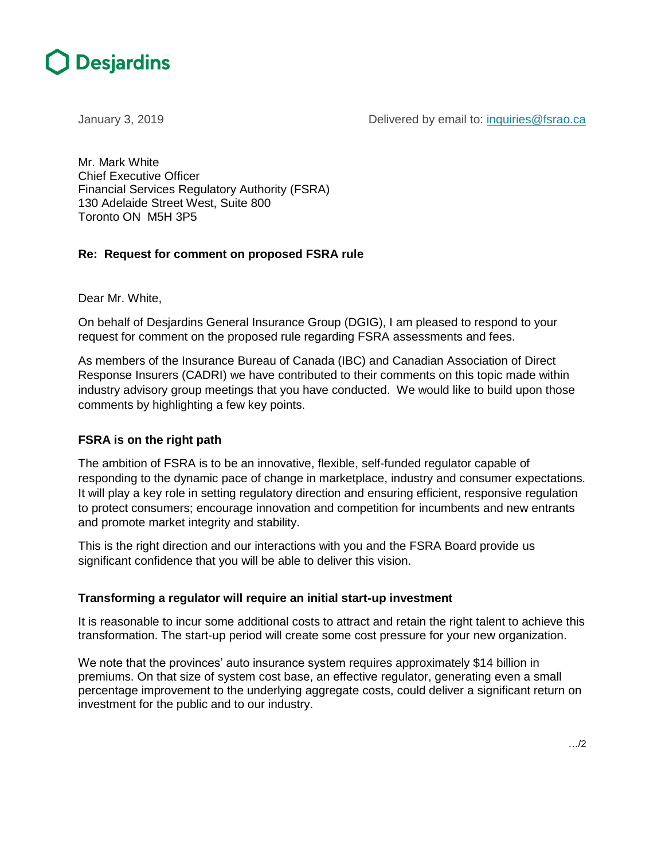

January 3, 2019 **Delivered by email to:** inquiries @fsrao.ca

Mr. Mark White Chief Executive Officer Financial Services Regulatory Authority (FSRA) 130 Adelaide Street West, Suite 800 Toronto ON M5H 3P5

# **Re: Request for comment on proposed FSRA rule**

Dear Mr. White,

On behalf of Desjardins General Insurance Group (DGIG), I am pleased to respond to your request for comment on the proposed rule regarding FSRA assessments and fees.

As members of the Insurance Bureau of Canada (IBC) and Canadian Association of Direct Response Insurers (CADRI) we have contributed to their comments on this topic made within industry advisory group meetings that you have conducted. We would like to build upon those comments by highlighting a few key points.

## **FSRA is on the right path**

The ambition of FSRA is to be an innovative, flexible, self-funded regulator capable of responding to the dynamic pace of change in marketplace, industry and consumer expectations. It will play a key role in setting regulatory direction and ensuring efficient, responsive regulation to protect consumers; encourage innovation and competition for incumbents and new entrants and promote market integrity and stability.

This is the right direction and our interactions with you and the FSRA Board provide us significant confidence that you will be able to deliver this vision.

## **Transforming a regulator will require an initial start-up investment**

It is reasonable to incur some additional costs to attract and retain the right talent to achieve this transformation. The start-up period will create some cost pressure for your new organization.

We note that the provinces' auto insurance system requires approximately \$14 billion in premiums. On that size of system cost base, an effective regulator, generating even a small percentage improvement to the underlying aggregate costs, could deliver a significant return on investment for the public and to our industry.